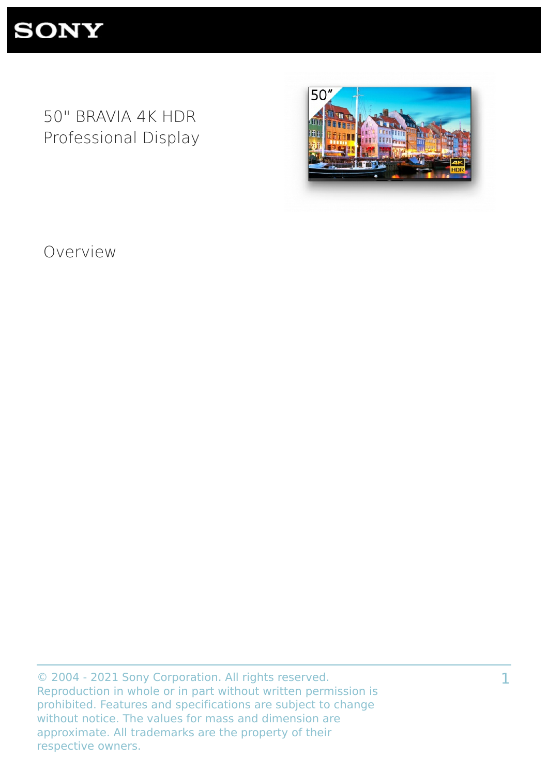

#### 50" BRAVIA 4K HDR Professional Display



Overview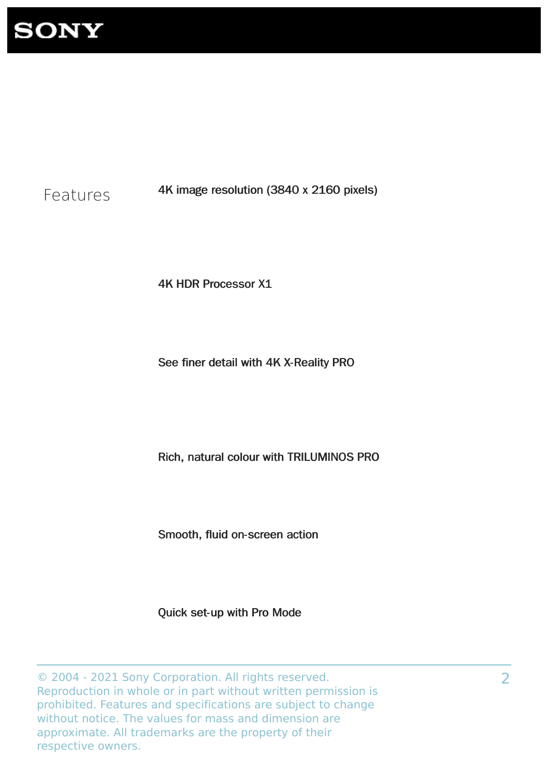

Features

4K image resolution (3840 x 2160 pixels)

4K HDR Processor X1

See finer detail with 4K X-Reality PRO

Rich, natural colour with TRILUMINOS PRO

Smooth, fluid on-screen action

Quick set-up with Pro Mode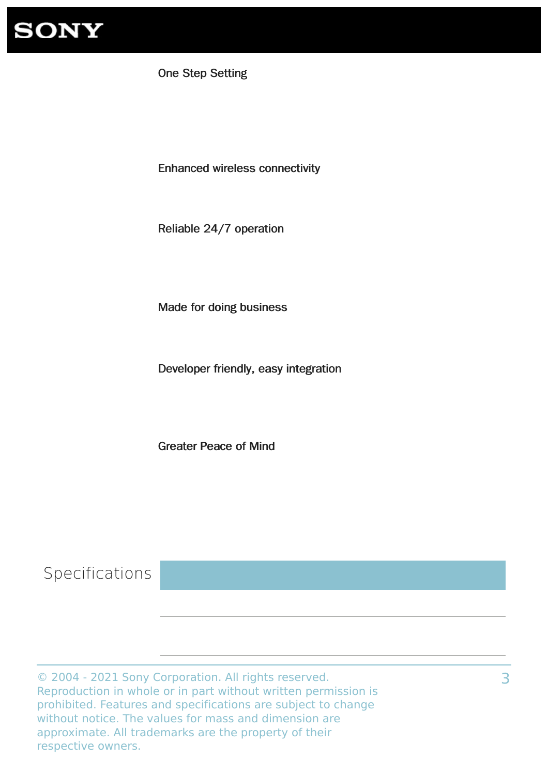

#### One Step Setting

Enhanced wireless connectivity

Reliable 24/7 operation

Made for doing business

Developer friendly, easy integration

Greater Peace of Mind

Specifications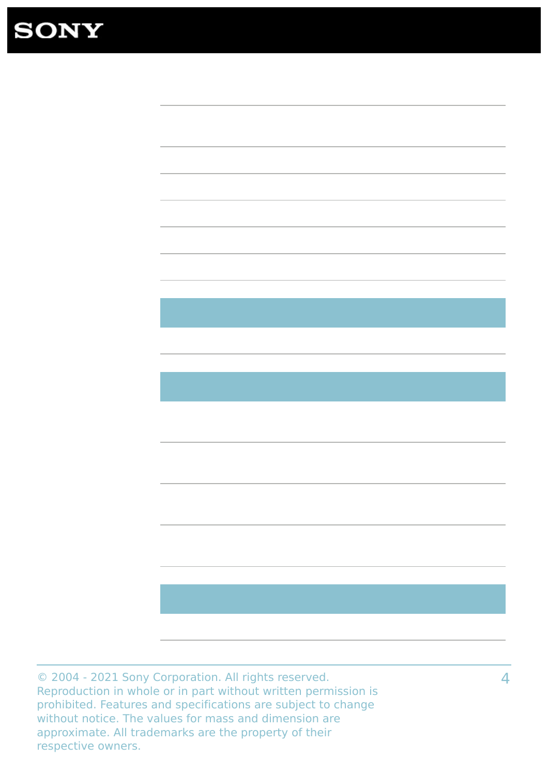

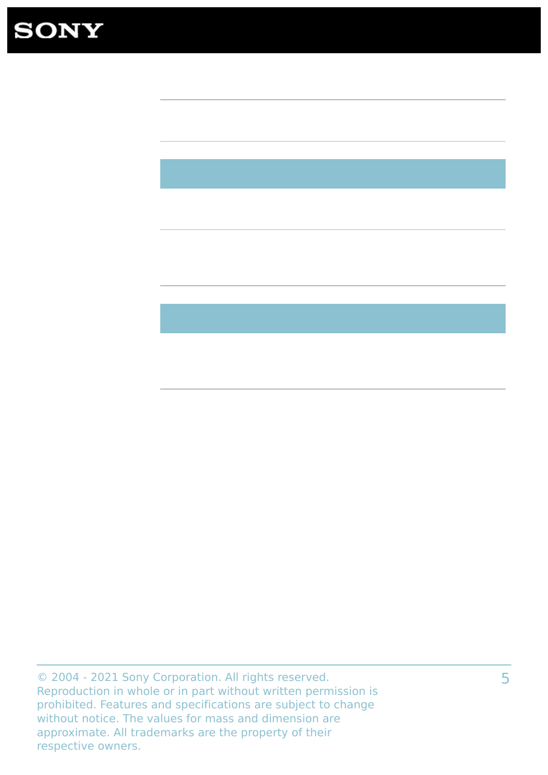



5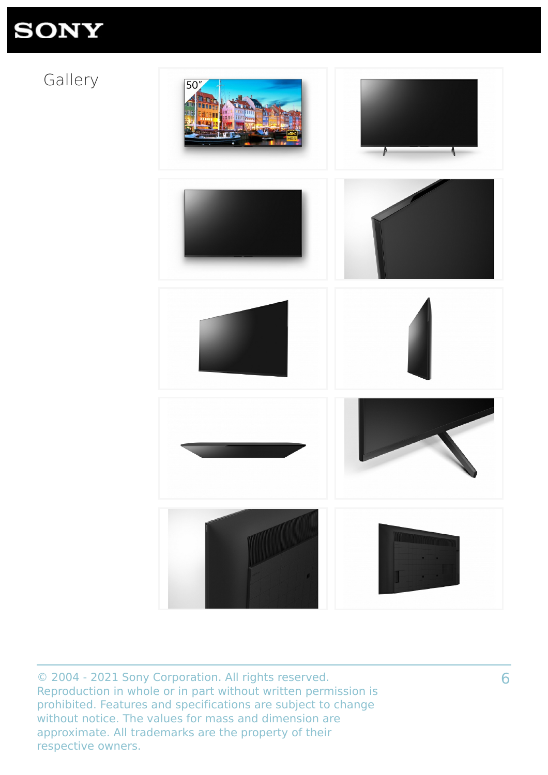# **SONY**

### Gallery